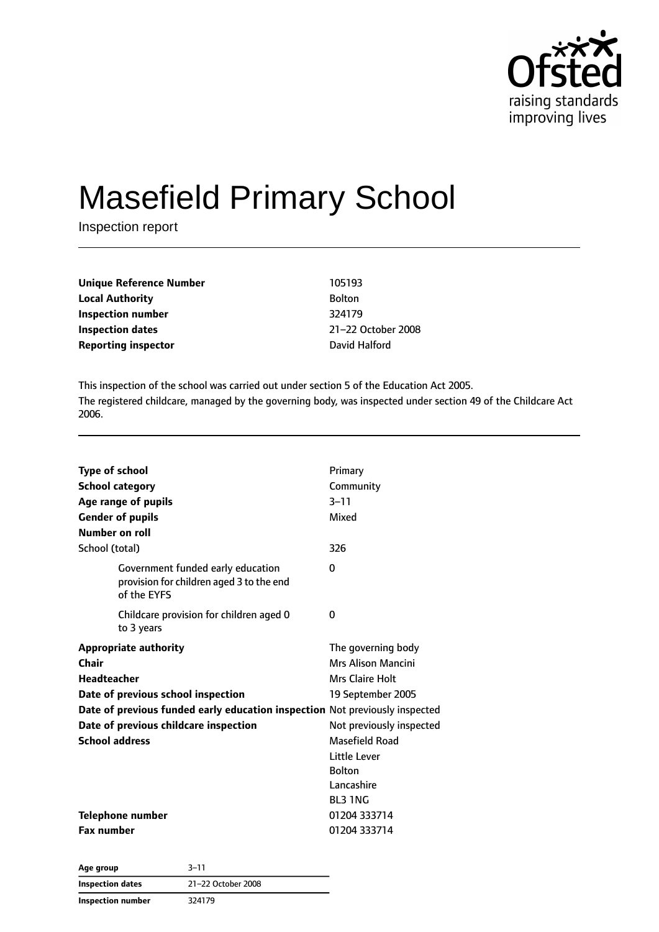

# Masefield Primary School

Inspection report

| Unique Reference Number    | 105193             |
|----------------------------|--------------------|
| Local Authority            | <b>Bolton</b>      |
| Inspection number          | 324179             |
| Inspection dates           | 21-22 October 2008 |
| <b>Reporting inspector</b> | David Halford      |
|                            |                    |

This inspection of the school was carried out under section 5 of the Education Act 2005. The registered childcare, managed by the governing body, was inspected under section 49 of the Childcare Act 2006.

| <b>Type of school</b><br><b>School category</b><br>Age range of pupils<br><b>Gender of pupils</b><br>Number on roll | Primary<br>Community<br>$3 - 11$<br>Mixed |
|---------------------------------------------------------------------------------------------------------------------|-------------------------------------------|
| School (total)                                                                                                      | 326                                       |
| Government funded early education<br>provision for children aged 3 to the end<br>of the EYFS                        | 0                                         |
| Childcare provision for children aged 0<br>to 3 years                                                               | 0                                         |
| <b>Appropriate authority</b>                                                                                        | The governing body                        |
| Chair                                                                                                               | Mrs Alison Mancini                        |
| <b>Headteacher</b>                                                                                                  | Mrs Claire Holt                           |
| Date of previous school inspection                                                                                  | 19 September 2005                         |
| Date of previous funded early education inspection Not previously inspected                                         |                                           |
| Date of previous childcare inspection<br>Not previously inspected                                                   |                                           |
| <b>School address</b>                                                                                               | Masefield Road                            |
|                                                                                                                     | Little Lever                              |
|                                                                                                                     | <b>Bolton</b>                             |
|                                                                                                                     | Lancashire                                |
|                                                                                                                     | <b>BL3 1NG</b>                            |
| <b>Telephone number</b>                                                                                             | 01204 333714                              |
| <b>Fax number</b>                                                                                                   | 01204 333714                              |

| Age group         | $3 - 11$           |  |
|-------------------|--------------------|--|
| Inspection dates  | 21-22 October 2008 |  |
| Inspection number | 324179             |  |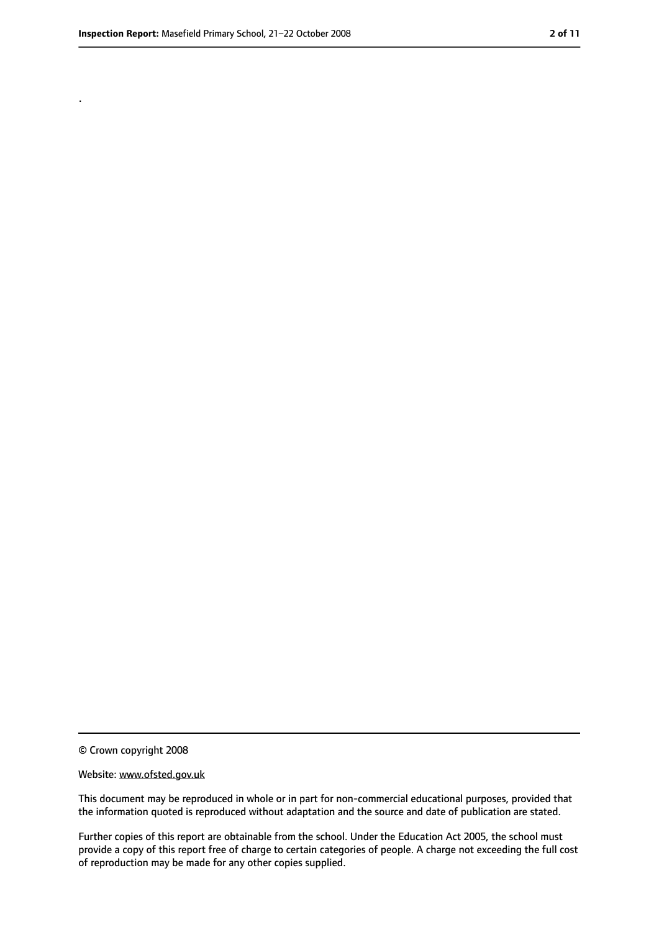.

<sup>©</sup> Crown copyright 2008

Website: www.ofsted.gov.uk

This document may be reproduced in whole or in part for non-commercial educational purposes, provided that the information quoted is reproduced without adaptation and the source and date of publication are stated.

Further copies of this report are obtainable from the school. Under the Education Act 2005, the school must provide a copy of this report free of charge to certain categories of people. A charge not exceeding the full cost of reproduction may be made for any other copies supplied.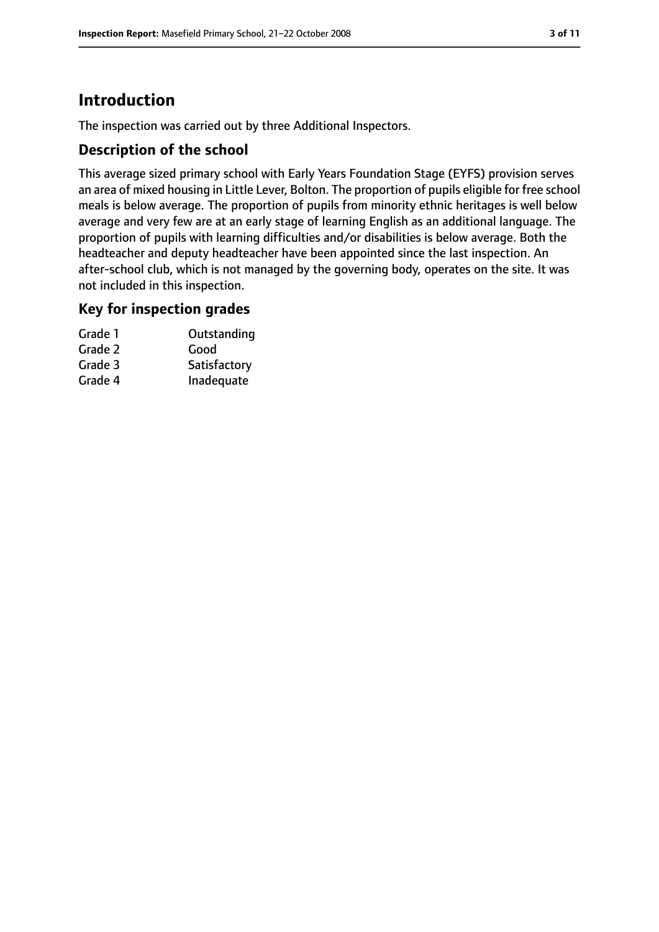## **Introduction**

The inspection was carried out by three Additional Inspectors.

#### **Description of the school**

This average sized primary school with Early Years Foundation Stage (EYFS) provision serves an area of mixed housing in Little Lever, Bolton. The proportion of pupils eligible for free school meals is below average. The proportion of pupils from minority ethnic heritages is well below average and very few are at an early stage of learning English as an additional language. The proportion of pupils with learning difficulties and/or disabilities is below average. Both the headteacher and deputy headteacher have been appointed since the last inspection. An after-school club, which is not managed by the governing body, operates on the site. It was not included in this inspection.

#### **Key for inspection grades**

| Grade 1 | Outstanding  |
|---------|--------------|
| Grade 2 | Good         |
| Grade 3 | Satisfactory |
| Grade 4 | Inadequate   |
|         |              |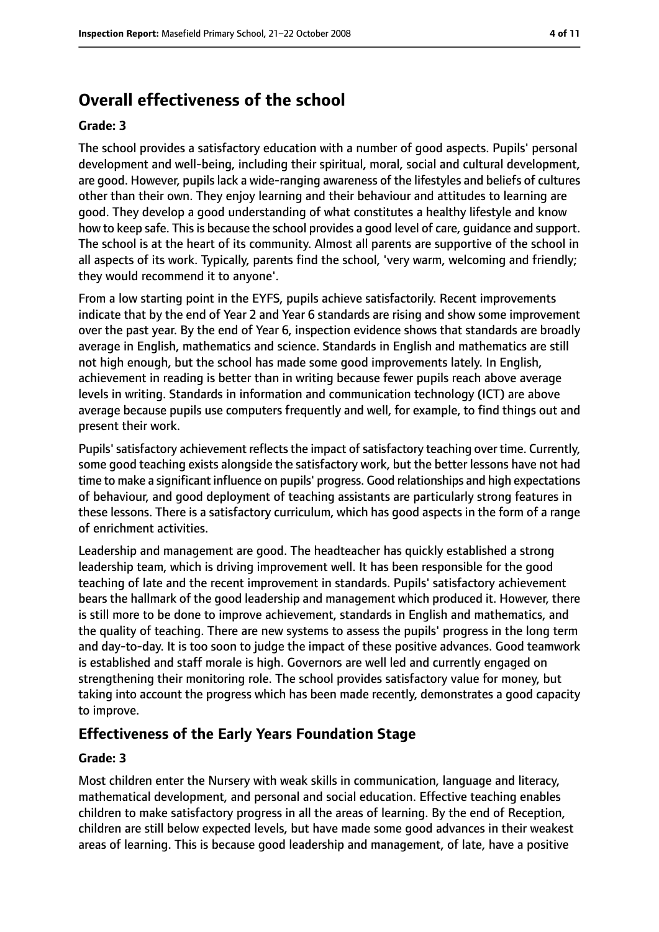### **Overall effectiveness of the school**

#### **Grade: 3**

The school provides a satisfactory education with a number of good aspects. Pupils' personal development and well-being, including their spiritual, moral, social and cultural development, are good. However, pupils lack a wide-ranging awareness of the lifestyles and beliefs of cultures other than their own. They enjoy learning and their behaviour and attitudes to learning are good. They develop a good understanding of what constitutes a healthy lifestyle and know how to keep safe. This is because the school provides a good level of care, guidance and support. The school is at the heart of its community. Almost all parents are supportive of the school in all aspects of its work. Typically, parents find the school, 'very warm, welcoming and friendly; they would recommend it to anyone'.

From a low starting point in the EYFS, pupils achieve satisfactorily. Recent improvements indicate that by the end of Year 2 and Year 6 standards are rising and show some improvement over the past year. By the end of Year 6, inspection evidence shows that standards are broadly average in English, mathematics and science. Standards in English and mathematics are still not high enough, but the school has made some good improvements lately. In English, achievement in reading is better than in writing because fewer pupils reach above average levels in writing. Standards in information and communication technology (ICT) are above average because pupils use computers frequently and well, for example, to find things out and present their work.

Pupils' satisfactory achievement reflects the impact of satisfactory teaching over time. Currently, some good teaching exists alongside the satisfactory work, but the better lessons have not had time to make a significant influence on pupils' progress. Good relationships and high expectations of behaviour, and good deployment of teaching assistants are particularly strong features in these lessons. There is a satisfactory curriculum, which has good aspects in the form of a range of enrichment activities.

Leadership and management are good. The headteacher has quickly established a strong leadership team, which is driving improvement well. It has been responsible for the good teaching of late and the recent improvement in standards. Pupils' satisfactory achievement bears the hallmark of the good leadership and management which produced it. However, there is still more to be done to improve achievement, standards in English and mathematics, and the quality of teaching. There are new systems to assess the pupils' progress in the long term and day-to-day. It is too soon to judge the impact of these positive advances. Good teamwork is established and staff morale is high. Governors are well led and currently engaged on strengthening their monitoring role. The school provides satisfactory value for money, but taking into account the progress which has been made recently, demonstrates a good capacity to improve.

#### **Effectiveness of the Early Years Foundation Stage**

#### **Grade: 3**

Most children enter the Nursery with weak skills in communication, language and literacy, mathematical development, and personal and social education. Effective teaching enables children to make satisfactory progress in all the areas of learning. By the end of Reception, children are still below expected levels, but have made some good advances in their weakest areas of learning. This is because good leadership and management, of late, have a positive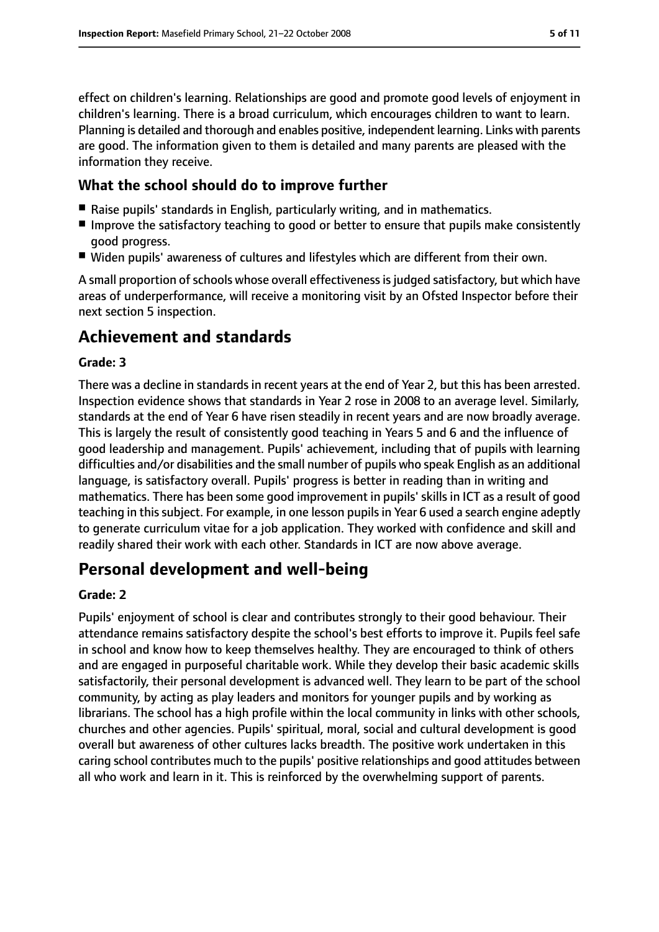effect on children's learning. Relationships are good and promote good levels of enjoyment in children's learning. There is a broad curriculum, which encourages children to want to learn. Planning is detailed and thorough and enables positive, independent learning. Links with parents are good. The information given to them is detailed and many parents are pleased with the information they receive.

#### **What the school should do to improve further**

- Raise pupils' standards in English, particularly writing, and in mathematics.
- Improve the satisfactory teaching to good or better to ensure that pupils make consistently good progress.
- Widen pupils' awareness of cultures and lifestyles which are different from their own.

A small proportion of schools whose overall effectiveness is judged satisfactory, but which have areas of underperformance, will receive a monitoring visit by an Ofsted Inspector before their next section 5 inspection.

### **Achievement and standards**

#### **Grade: 3**

There was a decline in standards in recent years at the end of Year 2, but this has been arrested. Inspection evidence shows that standards in Year 2 rose in 2008 to an average level. Similarly, standards at the end of Year 6 have risen steadily in recent years and are now broadly average. This is largely the result of consistently good teaching in Years 5 and 6 and the influence of good leadership and management. Pupils' achievement, including that of pupils with learning difficulties and/or disabilities and the small number of pupils who speak English as an additional language, is satisfactory overall. Pupils' progress is better in reading than in writing and mathematics. There has been some good improvement in pupils' skills in ICT as a result of good teaching in this subject. For example, in one lesson pupils in Year 6 used a search engine adeptly to generate curriculum vitae for a job application. They worked with confidence and skill and readily shared their work with each other. Standards in ICT are now above average.

### **Personal development and well-being**

#### **Grade: 2**

Pupils' enjoyment of school is clear and contributes strongly to their good behaviour. Their attendance remains satisfactory despite the school's best efforts to improve it. Pupils feel safe in school and know how to keep themselves healthy. They are encouraged to think of others and are engaged in purposeful charitable work. While they develop their basic academic skills satisfactorily, their personal development is advanced well. They learn to be part of the school community, by acting as play leaders and monitors for younger pupils and by working as librarians. The school has a high profile within the local community in links with other schools, churches and other agencies. Pupils' spiritual, moral, social and cultural development is good overall but awareness of other cultures lacks breadth. The positive work undertaken in this caring school contributes much to the pupils' positive relationships and good attitudes between all who work and learn in it. This is reinforced by the overwhelming support of parents.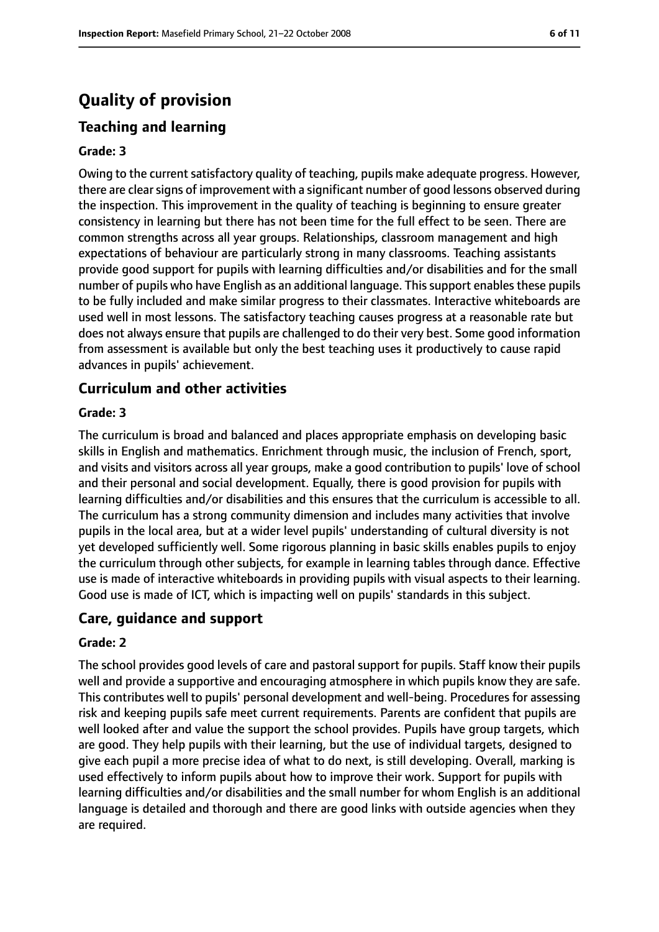## **Quality of provision**

### **Teaching and learning**

#### **Grade: 3**

Owing to the current satisfactory quality of teaching, pupils make adequate progress. However, there are clear signs of improvement with a significant number of good lessons observed during the inspection. This improvement in the quality of teaching is beginning to ensure greater consistency in learning but there has not been time for the full effect to be seen. There are common strengths across all year groups. Relationships, classroom management and high expectations of behaviour are particularly strong in many classrooms. Teaching assistants provide good support for pupils with learning difficulties and/or disabilities and for the small number of pupils who have English as an additional language. This support enables these pupils to be fully included and make similar progress to their classmates. Interactive whiteboards are used well in most lessons. The satisfactory teaching causes progress at a reasonable rate but does not always ensure that pupils are challenged to do their very best. Some good information from assessment is available but only the best teaching uses it productively to cause rapid advances in pupils' achievement.

#### **Curriculum and other activities**

#### **Grade: 3**

The curriculum is broad and balanced and places appropriate emphasis on developing basic skills in English and mathematics. Enrichment through music, the inclusion of French, sport, and visits and visitors across all year groups, make a good contribution to pupils' love of school and their personal and social development. Equally, there is good provision for pupils with learning difficulties and/or disabilities and this ensures that the curriculum is accessible to all. The curriculum has a strong community dimension and includes many activities that involve pupils in the local area, but at a wider level pupils' understanding of cultural diversity is not yet developed sufficiently well. Some rigorous planning in basic skills enables pupils to enjoy the curriculum through other subjects, for example in learning tables through dance. Effective use is made of interactive whiteboards in providing pupils with visual aspects to their learning. Good use is made of ICT, which is impacting well on pupils' standards in this subject.

#### **Care, guidance and support**

#### **Grade: 2**

The school provides good levels of care and pastoral support for pupils. Staff know their pupils well and provide a supportive and encouraging atmosphere in which pupils know they are safe. This contributes well to pupils' personal development and well-being. Procedures for assessing risk and keeping pupils safe meet current requirements. Parents are confident that pupils are well looked after and value the support the school provides. Pupils have group targets, which are good. They help pupils with their learning, but the use of individual targets, designed to give each pupil a more precise idea of what to do next, is still developing. Overall, marking is used effectively to inform pupils about how to improve their work. Support for pupils with learning difficulties and/or disabilities and the small number for whom English is an additional language is detailed and thorough and there are good links with outside agencies when they are required.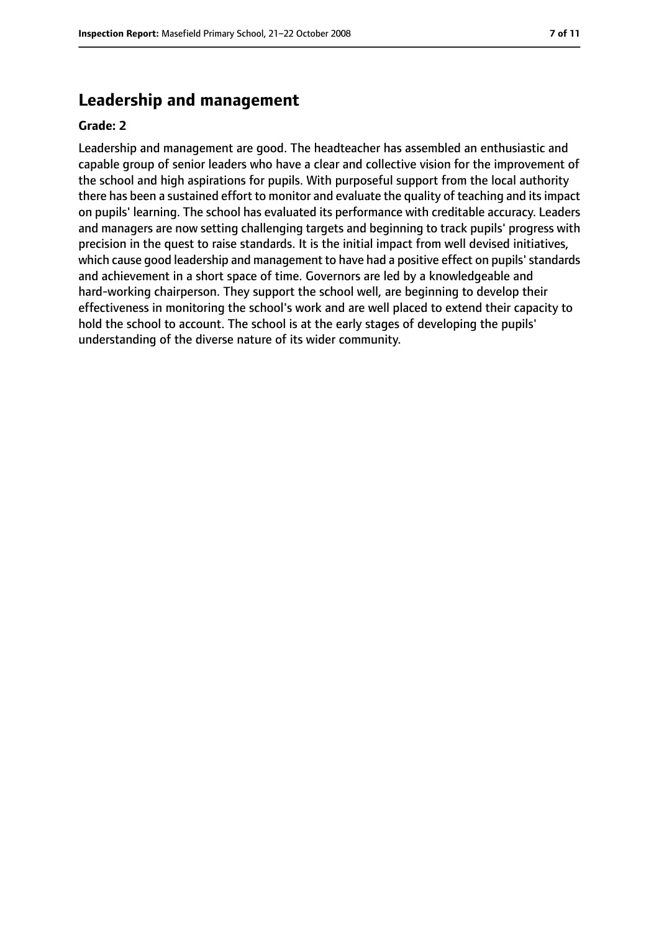### **Leadership and management**

#### **Grade: 2**

Leadership and management are good. The headteacher has assembled an enthusiastic and capable group of senior leaders who have a clear and collective vision for the improvement of the school and high aspirations for pupils. With purposeful support from the local authority there has been a sustained effort to monitor and evaluate the quality of teaching and itsimpact on pupils' learning. The school has evaluated its performance with creditable accuracy. Leaders and managers are now setting challenging targets and beginning to track pupils' progress with precision in the quest to raise standards. It is the initial impact from well devised initiatives, which cause good leadership and management to have had a positive effect on pupils' standards and achievement in a short space of time. Governors are led by a knowledgeable and hard-working chairperson. They support the school well, are beginning to develop their effectiveness in monitoring the school's work and are well placed to extend their capacity to hold the school to account. The school is at the early stages of developing the pupils' understanding of the diverse nature of its wider community.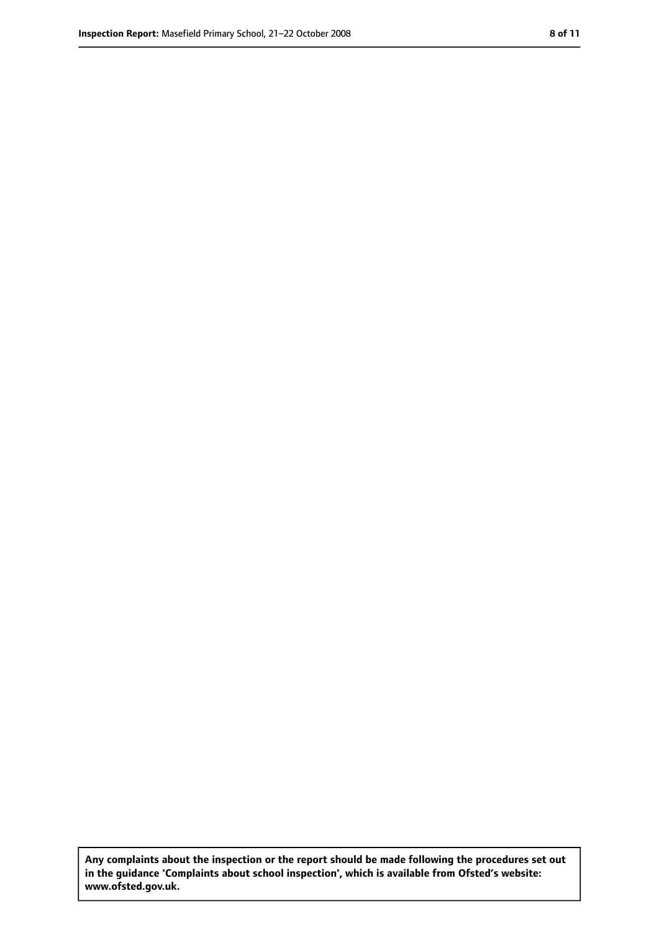**Any complaints about the inspection or the report should be made following the procedures set out in the guidance 'Complaints about school inspection', which is available from Ofsted's website: www.ofsted.gov.uk.**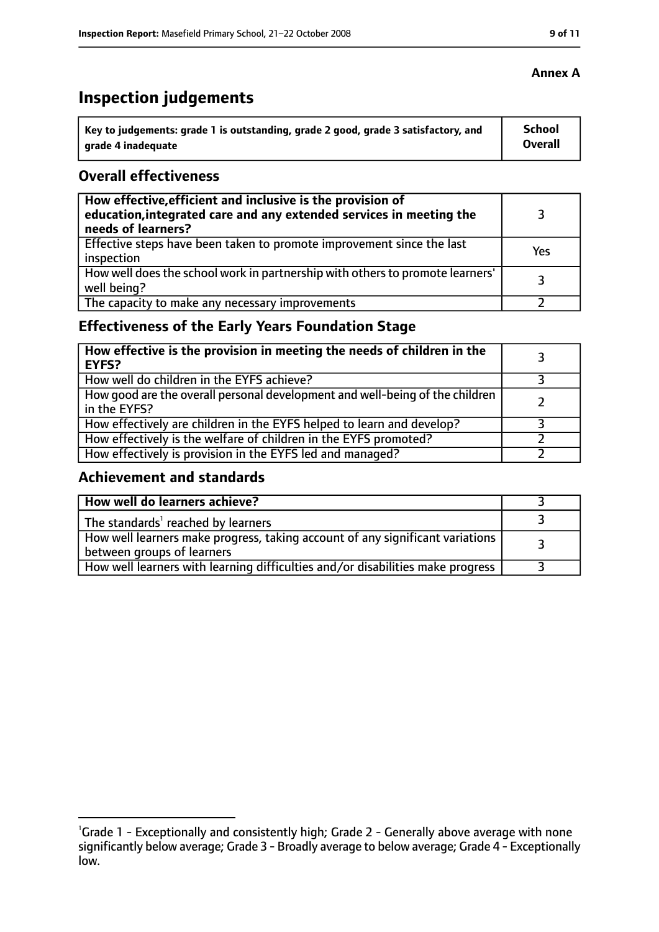## **Inspection judgements**

| $^{\cdot}$ Key to judgements: grade 1 is outstanding, grade 2 good, grade 3 satisfactory, and | School         |
|-----------------------------------------------------------------------------------------------|----------------|
| arade 4 inadequate                                                                            | <b>Overall</b> |

#### **Overall effectiveness**

| How effective, efficient and inclusive is the provision of<br>education, integrated care and any extended services in meeting the<br>needs of learners? |     |
|---------------------------------------------------------------------------------------------------------------------------------------------------------|-----|
| Effective steps have been taken to promote improvement since the last<br>inspection                                                                     | Yes |
| How well does the school work in partnership with others to promote learners'<br>well being?                                                            |     |
| The capacity to make any necessary improvements                                                                                                         |     |

### **Effectiveness of the Early Years Foundation Stage**

| How effective is the provision in meeting the needs of children in the<br><b>EYFS?</b>       |  |
|----------------------------------------------------------------------------------------------|--|
| How well do children in the EYFS achieve?                                                    |  |
| How good are the overall personal development and well-being of the children<br>in the EYFS? |  |
| How effectively are children in the EYFS helped to learn and develop?                        |  |
| How effectively is the welfare of children in the EYFS promoted?                             |  |
| How effectively is provision in the EYFS led and managed?                                    |  |

#### **Achievement and standards**

| How well do learners achieve?                                                                               |  |
|-------------------------------------------------------------------------------------------------------------|--|
| The standards <sup>1</sup> reached by learners                                                              |  |
| How well learners make progress, taking account of any significant variations<br>between groups of learners |  |
| How well learners with learning difficulties and/or disabilities make progress                              |  |

#### **Annex A**

<sup>&</sup>lt;sup>1</sup>Grade 1 - Exceptionally and consistently high; Grade 2 - Generally above average with none significantly below average; Grade 3 - Broadly average to below average; Grade 4 - Exceptionally low.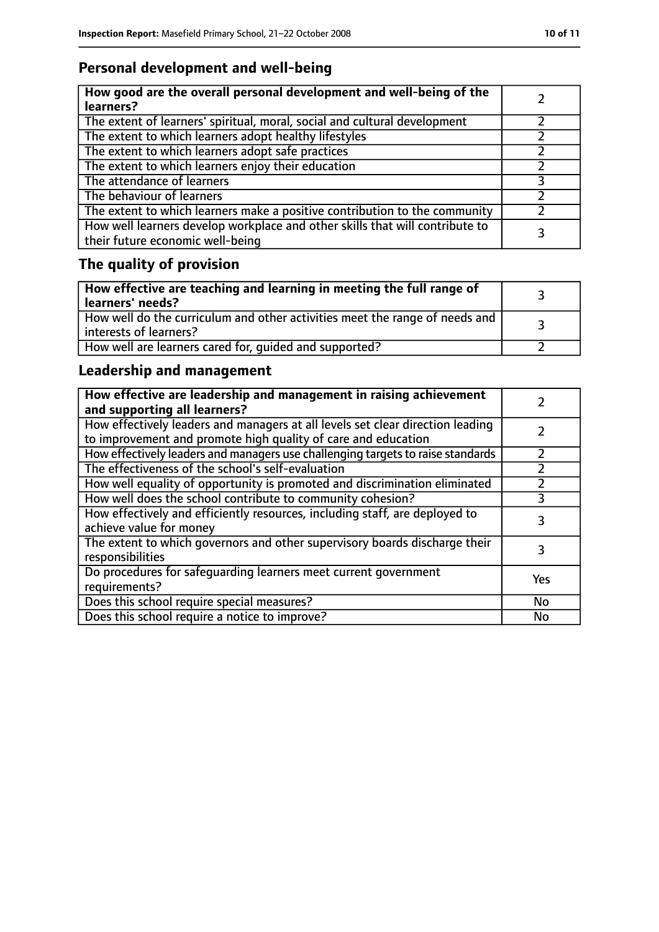### **Personal development and well-being**

| How good are the overall personal development and well-being of the<br>learners?                                 |  |
|------------------------------------------------------------------------------------------------------------------|--|
| The extent of learners' spiritual, moral, social and cultural development                                        |  |
| The extent to which learners adopt healthy lifestyles                                                            |  |
| The extent to which learners adopt safe practices                                                                |  |
| The extent to which learners enjoy their education                                                               |  |
| The attendance of learners                                                                                       |  |
| The behaviour of learners                                                                                        |  |
| The extent to which learners make a positive contribution to the community                                       |  |
| How well learners develop workplace and other skills that will contribute to<br>their future economic well-being |  |

## **The quality of provision**

| How effective are teaching and learning in meeting the full range of<br>learners' needs?                |  |
|---------------------------------------------------------------------------------------------------------|--|
| How well do the curriculum and other activities meet the range of needs and<br>  interests of learners? |  |
| How well are learners cared for, quided and supported?                                                  |  |

### **Leadership and management**

| How effective are leadership and management in raising achievement<br>and supporting all learners?                                              |     |
|-------------------------------------------------------------------------------------------------------------------------------------------------|-----|
| How effectively leaders and managers at all levels set clear direction leading<br>to improvement and promote high quality of care and education |     |
| How effectively leaders and managers use challenging targets to raise standards                                                                 |     |
| The effectiveness of the school's self-evaluation                                                                                               |     |
| How well equality of opportunity is promoted and discrimination eliminated                                                                      |     |
| How well does the school contribute to community cohesion?                                                                                      | 3   |
| How effectively and efficiently resources, including staff, are deployed to<br>achieve value for money                                          | 3   |
| The extent to which governors and other supervisory boards discharge their<br>responsibilities                                                  |     |
| Do procedures for safequarding learners meet current government<br>requirements?                                                                | Yes |
| Does this school require special measures?                                                                                                      | No  |
| Does this school require a notice to improve?                                                                                                   | No  |